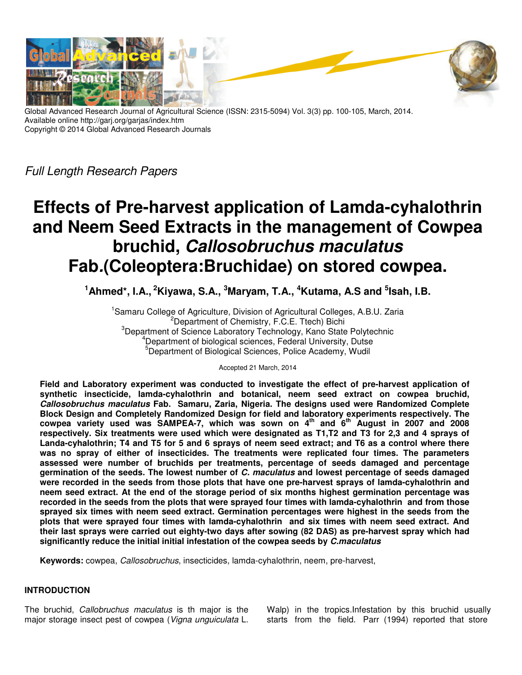

Global Advanced Research Journal of Agricultural Science (ISSN: 2315-5094) Vol. 3(3) pp. 100-105, March, 2014. Available online http://garj.org/garjas/index.htm Copyright © 2014 Global Advanced Research Journals

Full Length Research Papers

# **Effects of Pre-harvest application of Lamda-cyhalothrin and Neem Seed Extracts in the management of Cowpea bruchid, Callosobruchus maculatus Fab.(Coleoptera:Bruchidae) on stored cowpea.**

**<sup>1</sup>Ahmed\*, I.A.,<sup>2</sup>Kiyawa, S.A., <sup>3</sup>Maryam, T.A., <sup>4</sup>Kutama, A.S and <sup>5</sup> Isah, I.B.** 

<sup>1</sup> Samaru College of Agriculture, Division of Agricultural Colleges, A.B.U. Zaria <sup>2</sup>Department of Chemistry, F.C.E. Ttech) Bichi <sup>3</sup>Department of Science Laboratory Technology, Kano State Polytechnic <sup>4</sup>Department of biological sciences, Federal University, Dutse <sup>5</sup>Department of Biological Sciences, Police Academy, Wudil

Accepted 21 March, 2014

**Field and Laboratory experiment was conducted to investigate the effect of pre-harvest application of synthetic insecticide, lamda-cyhalothrin and botanical, neem seed extract on cowpea bruchid, Callosobruchus maculatus Fab. Samaru, Zaria, Nigeria. The designs used were Randomized Complete Block Design and Completely Randomized Design for field and laboratory experiments respectively. The cowpea variety used was SAMPEA-7, which was sown on 4th and 6th August in 2007 and 2008 respectively. Six treatments were used which were designated as T1,T2 and T3 for 2,3 and 4 sprays of Landa-cyhalothrin; T4 and T5 for 5 and 6 sprays of neem seed extract; and T6 as a control where there was no spray of either of insecticides. The treatments were replicated four times. The parameters assessed were number of bruchids per treatments, percentage of seeds damaged and percentage germination of the seeds. The lowest number of C. maculatus and lowest percentage of seeds damaged were recorded in the seeds from those plots that have one pre-harvest sprays of lamda-cyhalothrin and neem seed extract. At the end of the storage period of six months highest germination percentage was recorded in the seeds from the plots that were sprayed four times with lamda-cyhalothrin and from those sprayed six times with neem seed extract. Germination percentages were highest in the seeds from the plots that were sprayed four times with lamda-cyhalothrin and six times with neem seed extract. And their last sprays were carried out eighty-two days after sowing (82 DAS) as pre-harvest spray which had significantly reduce the initial initial infestation of the cowpea seeds by C.maculatus**

**Keywords:** cowpea, Callosobruchus, insecticides, lamda-cyhalothrin, neem, pre-harvest,

# **INTRODUCTION**

The bruchid, Callobruchus maculatus is th major is the major storage insect pest of cowpea (Vigna unguiculata L. Walp) in the tropics.Infestation by this bruchid usually starts from the field.Parr (1994) reported that store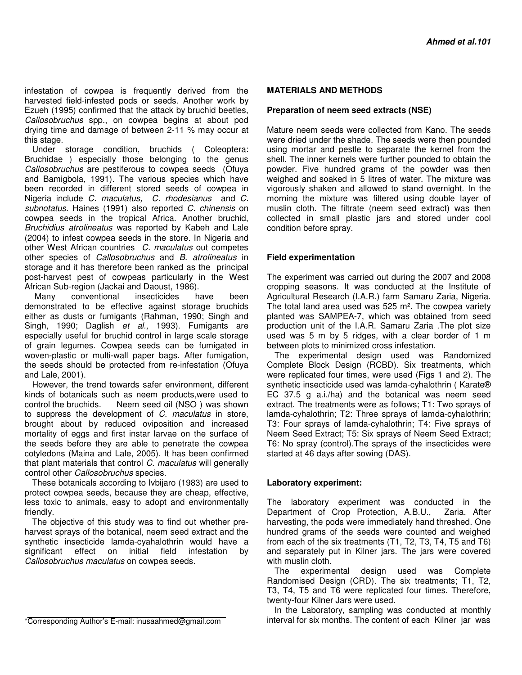infestation of cowpea is frequently derived from the harvested field-infested pods or seeds. Another work by Ezueh (1995) confirmed that the attack by bruchid beetles, Callosobruchus spp., on cowpea begins at about pod drying time and damage of between 2-11 % may occur at this stage.

Under storage condition, bruchids ( Coleoptera: Bruchidae ) especially those belonging to the genus Callosobruchus are pestiferous to cowpea seeds (Ofuya and Bamigbola, 1991). The various species which have been recorded in different stored seeds of cowpea in Nigeria include C. maculatus, C. rhodesianus and C. subnotatus. Haines (1991) also reported C. chinensis on cowpea seeds in the tropical Africa. Another bruchid, Bruchidius atrolineatus was reported by Kabeh and Lale (2004) to infest cowpea seeds in the store. In Nigeria and other West African countries C. maculatus out competes other species of Callosobruchus and B. atrolineatus in storage and it has therefore been ranked as the principal post-harvest pest of cowpeas particularly in the West

African Sub-region (Jackai and Daoust, 1986). Many conventional insecticides have been demonstrated to be effective against storage bruchids either as dusts or fumigants (Rahman, 1990; Singh and Singh, 1990; Daglish et al., 1993). Fumigants are especially useful for bruchid control in large scale storage of grain legumes. Cowpea seeds can be fumigated in woven-plastic or multi-wall paper bags. After fumigation, the seeds should be protected from re-infestation (Ofuya and Lale, 2001).

However, the trend towards safer environment, different kinds of botanicals such as neem products,were used to control the bruchids. Neem seed oil (NSO ) was shown to suppress the development of C. maculatus in store, brought about by reduced oviposition and increased mortality of eggs and first instar larvae on the surface of the seeds before they are able to penetrate the cowpea cotyledons (Maina and Lale, 2005). It has been confirmed that plant materials that control C. maculatus will generally control other Callosobruchus species.

These botanicals according to Ivbijaro (1983) are used to protect cowpea seeds, because they are cheap, effective, less toxic to animals, easy to adopt and environmentally friendly.

The objective of this study was to find out whether preharvest sprays of the botanical, neem seed extract and the synthetic insecticide lamda-cyahalothrin would have a significant effect on initial field infestation by Callosobruchus maculatus on cowpea seeds.

#### \*Corresponding Author's E-mail: inusaahmed@gmail.com

# **MATERIALS AND METHODS**

### **Preparation of neem seed extracts (NSE)**

Mature neem seeds were collected from Kano. The seeds were dried under the shade. The seeds were then pounded using mortar and pestle to separate the kernel from the shell. The inner kernels were further pounded to obtain the powder. Five hundred grams of the powder was then weighed and soaked in 5 litres of water. The mixture was vigorously shaken and allowed to stand overnight. In the morning the mixture was filtered using double layer of muslin cloth. The filtrate (neem seed extract) was then collected in small plastic jars and stored under cool condition before spray.

#### **Field experimentation**

The experiment was carried out during the 2007 and 2008 cropping seasons. It was conducted at the Institute of Agricultural Research (I.A.R.) farm Samaru Zaria, Nigeria. The total land area used was 525 m². The cowpea variety planted was SAMPEA-7, which was obtained from seed production unit of the I.A.R. Samaru Zaria .The plot size used was 5 m by 5 ridges, with a clear border of 1 m between plots to minimized cross infestation.

The experimental design used was Randomized Complete Block Design (RCBD). Six treatments, which were replicated four times, were used (Figs 1 and 2). The synthetic insecticide used was lamda-cyhalothrin ( Karate® EC 37.5 g a.i./ha) and the botanical was neem seed extract. The treatments were as follows; T1: Two sprays of lamda-cyhalothrin; T2: Three sprays of lamda-cyhalothrin; T3: Four sprays of lamda-cyhalothrin; T4: Five sprays of Neem Seed Extract; T5: Six sprays of Neem Seed Extract; T6: No spray (control).The sprays of the insecticides were started at 46 days after sowing (DAS).

#### **Laboratory experiment:**

The laboratory experiment was conducted in the Department of Crop Protection, A.B.U., Zaria. After harvesting, the pods were immediately hand threshed. One hundred grams of the seeds were counted and weighed from each of the six treatments (T1, T2, T3, T4, T5 and T6) and separately put in Kilner jars. The jars were covered with muslin cloth.

The experimental design used was Complete Randomised Design (CRD). The six treatments; T1, T2, T3, T4, T5 and T6 were replicated four times. Therefore, twenty-four Kilner Jars were used.

In the Laboratory, sampling was conducted at monthly interval for six months. The content of each Kilner jar was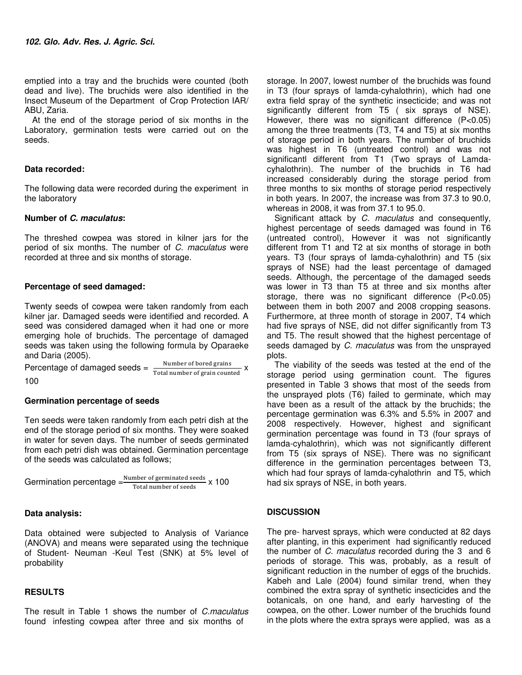emptied into a tray and the bruchids were counted (both dead and live). The bruchids were also identified in the Insect Museum of the Department of Crop Protection IAR/ ABU, Zaria.

At the end of the storage period of six months in the Laboratory, germination tests were carried out on the seeds.

# **Data recorded:**

The following data were recorded during the experiment in the laboratory

# **Number of C. maculatus:**

The threshed cowpea was stored in kilner jars for the period of six months. The number of C. maculatus were recorded at three and six months of storage.

# **Percentage of seed damaged:**

Twenty seeds of cowpea were taken randomly from each kilner jar. Damaged seeds were identified and recorded. A seed was considered damaged when it had one or more emerging hole of bruchids. The percentage of damaged seeds was taken using the following formula by Oparaeke and Daria (2005).

Percentage of damaged seeds  $=$   $\frac{\text{Number of bored grains}}{\text{Total number of origin sound}}$ Total number of grain counted X 100

# **Germination percentage of seeds**

Ten seeds were taken randomly from each petri dish at the end of the storage period of six months. They were soaked in water for seven days. The number of seeds germinated from each petri dish was obtained. Germination percentage of the seeds was calculated as follows;

$$
Germanation percentage = \frac{Number of germinated seeds}{Total number of seeds} \times 100
$$

# **Data analysis:**

Data obtained were subjected to Analysis of Variance (ANOVA) and means were separated using the technique of Student- Neuman -Keul Test (SNK) at 5% level of probability

# **RESULTS**

The result in Table 1 shows the number of *C.maculatus* found infesting cowpea after three and six months of

storage. In 2007, lowest number of the bruchids was found in T3 (four sprays of lamda-cyhalothrin), which had one extra field spray of the synthetic insecticide; and was not significantly different from T5 ( six sprays of NSE). However, there was no significant difference (P<0.05) among the three treatments (T3, T4 and T5) at six months of storage period in both years. The number of bruchids was highest in T6 (untreated control) and was not significantl different from T1 (Two sprays of Lamdacyhalothrin). The number of the bruchids in T6 had increased considerably during the storage period from three months to six months of storage period respectively in both years. In 2007, the increase was from 37.3 to 90.0, whereas in 2008, it was from 37.1 to 95.0.

Significant attack by C. maculatus and consequently, highest percentage of seeds damaged was found in T6 (untreated control), However it was not significantly different from T1 and T2 at six months of storage in both years. T3 (four sprays of lamda-cyhalothrin) and T5 (six sprays of NSE) had the least percentage of damaged seeds. Although, the percentage of the damaged seeds was lower in T3 than T5 at three and six months after storage, there was no significant difference (P<0.05) between them in both 2007 and 2008 cropping seasons. Furthermore, at three month of storage in 2007, T4 which had five sprays of NSE, did not differ significantly from T3 and T5. The result showed that the highest percentage of seeds damaged by C. maculatus was from the unsprayed plots.

The viability of the seeds was tested at the end of the storage period using germination count. The figures presented in Table 3 shows that most of the seeds from the unsprayed plots (T6) failed to germinate, which may have been as a result of the attack by the bruchids; the percentage germination was 6.3% and 5.5% in 2007 and 2008 respectively. However, highest and significant germination percentage was found in T3 (four sprays of lamda-cyhalothrin), which was not significantly different from T5 (six sprays of NSE). There was no significant difference in the germination percentages between T3, which had four sprays of lamda-cyhalothrin and T5, which had six sprays of NSE, in both years.

# **DISCUSSION**

The pre- harvest sprays, which were conducted at 82 days after planting, in this experiment had significantly reduced the number of C. maculatus recorded during the 3 and 6 periods of storage. This was, probably, as a result of significant reduction in the number of eggs of the bruchids. Kabeh and Lale (2004) found similar trend, when they combined the extra spray of synthetic insecticides and the botanicals, on one hand, and early harvesting of the cowpea, on the other. Lower number of the bruchids found in the plots where the extra sprays were applied, was as a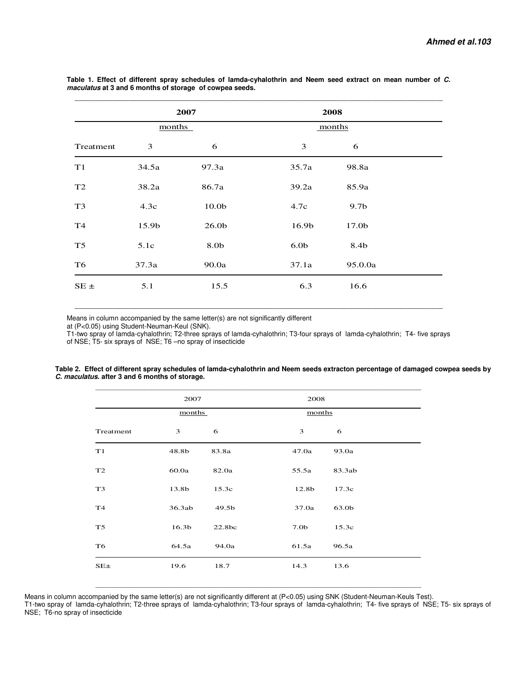|                | 2007          |                   | 2008             |                  |  |
|----------------|---------------|-------------------|------------------|------------------|--|
|                | <u>months</u> |                   | months           |                  |  |
| Treatment      | 3             | 6                 | 3                | 6                |  |
| T1             | 34.5a         | 97.3a             | 35.7a            | 98.8a            |  |
| T <sub>2</sub> | 38.2a         | 86.7a             | 39.2a            | 85.9a            |  |
| T <sub>3</sub> | 4.3c          | 10.0 <sub>b</sub> | 4.7c             | 9.7 <sub>b</sub> |  |
| T4             | 15.9b         | 26.0 <sub>b</sub> | 16.9b            | 17.0b            |  |
| T <sub>5</sub> | 5.1c          | 8.0b              | 6.0 <sub>b</sub> | 8.4b             |  |
| T6             | 37.3a         | 90.0a             | 37.1a            | 95.0.0a          |  |
| $SE \pm$       | 5.1           | 15.5              | 6.3              | 16.6             |  |

**Table 1. Effect of different spray schedules of lamda-cyhalothrin and Neem seed extract on mean number of C. maculatus at 3 and 6 months of storage of cowpea seeds. \_\_\_\_\_\_\_\_\_\_\_\_\_\_\_\_\_\_\_\_\_\_\_\_\_\_\_\_\_\_\_\_\_\_\_\_\_\_\_\_\_\_\_\_\_\_\_\_\_\_\_\_\_\_\_\_\_\_\_\_\_\_\_\_\_\_\_\_\_\_\_\_\_\_\_\_\_**

Means in column accompanied by the same letter(s) are not significantly different

at (P<0.05) using Student-Neuman-Keul (SNK).

T1-two spray of lamda-cyhalothrin; T2-three sprays of lamda-cyhalothrin; T3-four sprays of lamda-cyhalothrin; T4- five sprays of NSE; T5- six sprays of NSE; T6 –no spray of insecticide

\_\_\_\_\_\_\_\_\_\_\_\_\_\_\_\_\_\_\_\_\_\_\_\_\_\_\_\_\_\_\_\_\_\_\_\_\_\_\_\_\_\_\_\_\_\_\_\_\_\_\_\_\_\_\_\_\_\_\_\_\_\_\_\_\_\_\_\_\_\_\_\_\_\_\_\_\_\_

|                                                | Table 2. Effect of different spray schedules of lamda-cyhalothrin and Neem seeds extracton percentage of damaged cowpea seeds by |  |  |
|------------------------------------------------|----------------------------------------------------------------------------------------------------------------------------------|--|--|
| C. maculatus, after 3 and 6 months of storage. |                                                                                                                                  |  |  |

|                | 2007              |        | 2008             |        |
|----------------|-------------------|--------|------------------|--------|
|                | months            |        | months           |        |
| Treatment      | 3                 | 6      | 3                | 6      |
| T1             | 48.8b             | 83.8a  | 47.0a            | 93.0a  |
| T <sub>2</sub> | 60.0a             | 82.0a  | 55.5a            | 83.3ab |
| T <sub>3</sub> | 13.8b             | 15.3c  | 12.8b            | 17.3c  |
| T <sub>4</sub> | 36.3ab            | 49.5b  | 37.0a            | 63.0b  |
| T <sub>5</sub> | 16.3 <sub>b</sub> | 22.8bc | 7.0 <sub>b</sub> | 15.3c  |
| T6             | 64.5a             | 94.0a  | 61.5a            | 96.5a  |
| $SE_{\pm}$     | 19.6              | 18.7   | 14.3             | 13.6   |
|                |                   |        |                  |        |

Means in column accompanied by the same letter(s) are not significantly different at (P<0.05) using SNK (Student-Neuman-Keuls Test).

T1-two spray of lamda-cyhalothrin; T2-three sprays of lamda-cyhalothrin; T3-four sprays of lamda-cyhalothrin; T4- five sprays of NSE; T5- six sprays of NSE; T6-no spray of insecticide

 $\_$  ,  $\_$  ,  $\_$  ,  $\_$  ,  $\_$  ,  $\_$  ,  $\_$  ,  $\_$  ,  $\_$  ,  $\_$  ,  $\_$  ,  $\_$  ,  $\_$  ,  $\_$  ,  $\_$  ,  $\_$  ,  $\_$  ,  $\_$  ,  $\_$  ,  $\_$  ,  $\_$  ,  $\_$  ,  $\_$  ,  $\_$  ,  $\_$  ,  $\_$  ,  $\_$  ,  $\_$  ,  $\_$  ,  $\_$  ,  $\_$  ,  $\_$  ,  $\_$  ,  $\_$  ,  $\_$  ,  $\_$  ,  $\_$  ,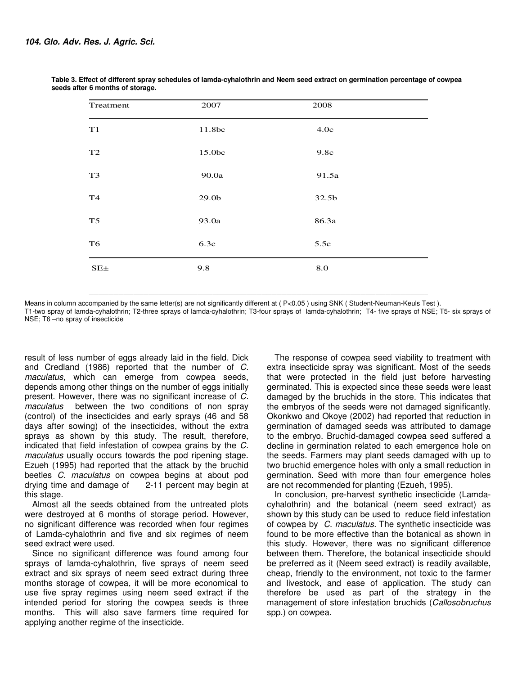| Treatment      | 2007              | 2008    |
|----------------|-------------------|---------|
| $\rm{T}1$      | 11.8bc            | 4.0c    |
| T2             | 15.0bc            | 9.8c    |
| T <sub>3</sub> | 90.0a             | 91.5a   |
| T <sub>4</sub> | 29.0 <sub>b</sub> | 32.5b   |
| T <sub>5</sub> | 93.0a             | 86.3a   |
| T <sub>6</sub> | 6.3c              | 5.5c    |
| $SE\pm$        | 9.8               | $8.0\,$ |
|                |                   |         |

**Table 3. Effect of different spray schedules of lamda-cyhalothrin and Neem seed extract on germination percentage of cowpea seeds after 6 months of storage.** 

Means in column accompanied by the same letter(s) are not significantly different at (P<0.05) using SNK (Student-Neuman-Keuls Test).

T1-two spray of lamda-cyhalothrin; T2-three sprays of lamda-cyhalothrin; T3-four sprays of lamda-cyhalothrin; T4- five sprays of NSE; T5- six sprays of NSE; T6 –no spray of insecticide

\_\_\_\_\_\_\_\_\_\_\_\_\_\_\_\_\_\_\_\_\_\_\_\_\_\_\_\_\_\_\_\_\_\_\_\_\_\_\_\_\_\_\_\_\_\_\_\_\_\_\_\_\_\_\_\_\_\_\_\_\_\_\_\_\_\_\_\_\_\_\_\_\_\_\_\_\_\_

result of less number of eggs already laid in the field. Dick and Credland (1986) reported that the number of C. maculatus, which can emerge from cowpea seeds, depends among other things on the number of eggs initially present. However, there was no significant increase of C. maculatus between the two conditions of non spray (control) of the insecticides and early sprays (46 and 58 days after sowing) of the insecticides, without the extra sprays as shown by this study. The result, therefore, indicated that field infestation of cowpea grains by the C. maculatus usually occurs towards the pod ripening stage. Ezueh (1995) had reported that the attack by the bruchid beetles C. maculatus on cowpea begins at about pod drying time and damage of 2-11 percent may begin at this stage.

Almost all the seeds obtained from the untreated plots were destroyed at 6 months of storage period. However, no significant difference was recorded when four regimes of Lamda-cyhalothrin and five and six regimes of neem seed extract were used.

Since no significant difference was found among four sprays of lamda-cyhalothrin, five sprays of neem seed extract and six sprays of neem seed extract during three months storage of cowpea, it will be more economical to use five spray regimes using neem seed extract if the intended period for storing the cowpea seeds is three months. This will also save farmers time required for applying another regime of the insecticide.

The response of cowpea seed viability to treatment with extra insecticide spray was significant. Most of the seeds that were protected in the field just before harvesting germinated. This is expected since these seeds were least damaged by the bruchids in the store. This indicates that the embryos of the seeds were not damaged significantly. Okonkwo and Okoye (2002) had reported that reduction in germination of damaged seeds was attributed to damage to the embryo. Bruchid-damaged cowpea seed suffered a decline in germination related to each emergence hole on the seeds. Farmers may plant seeds damaged with up to two bruchid emergence holes with only a small reduction in germination. Seed with more than four emergence holes are not recommended for planting (Ezueh, 1995).

In conclusion, pre-harvest synthetic insecticide (Lamdacyhalothrin) and the botanical (neem seed extract) as shown by this study can be used to reduce field infestation of cowpea by C. maculatus. The synthetic insecticide was found to be more effective than the botanical as shown in this study. However, there was no significant difference between them. Therefore, the botanical insecticide should be preferred as it (Neem seed extract) is readily available, cheap, friendly to the environment, not toxic to the farmer and livestock, and ease of application. The study can therefore be used as part of the strategy in the management of store infestation bruchids (Callosobruchus spp.) on cowpea.